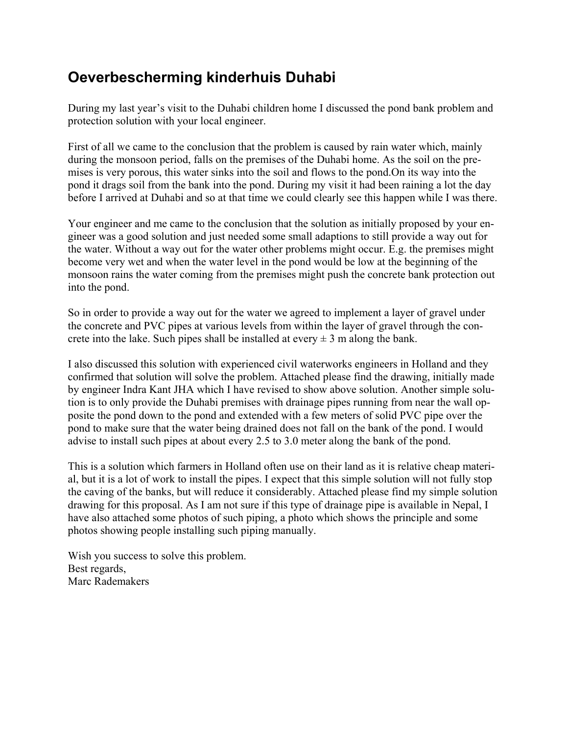## **Oeverbescherming kinderhuis Duhabi**

During my last year's visit to the Duhabi children home I discussed the pond bank problem and protection solution with your local engineer.

First of all we came to the conclusion that the problem is caused by rain water which, mainly during the monsoon period, falls on the premises of the Duhabi home. As the soil on the premises is very porous, this water sinks into the soil and flows to the pond.On its way into the pond it drags soil from the bank into the pond. During my visit it had been raining a lot the day before I arrived at Duhabi and so at that time we could clearly see this happen while I was there.

Your engineer and me came to the conclusion that the solution as initially proposed by your engineer was a good solution and just needed some small adaptions to still provide a way out for the water. Without a way out for the water other problems might occur. E.g. the premises might become very wet and when the water level in the pond would be low at the beginning of the monsoon rains the water coming from the premises might push the concrete bank protection out into the pond.

So in order to provide a way out for the water we agreed to implement a layer of gravel under the concrete and PVC pipes at various levels from within the layer of gravel through the concrete into the lake. Such pipes shall be installed at every  $\pm 3$  m along the bank.

I also discussed this solution with experienced civil waterworks engineers in Holland and they confirmed that solution will solve the problem. Attached please find the drawing, initially made by engineer Indra Kant JHA which I have revised to show above solution. Another simple solution is to only provide the Duhabi premises with drainage pipes running from near the wall opposite the pond down to the pond and extended with a few meters of solid PVC pipe over the pond to make sure that the water being drained does not fall on the bank of the pond. I would advise to install such pipes at about every 2.5 to 3.0 meter along the bank of the pond.

This is a solution which farmers in Holland often use on their land as it is relative cheap material, but it is a lot of work to install the pipes. I expect that this simple solution will not fully stop the caving of the banks, but will reduce it considerably. Attached please find my simple solution drawing for this proposal. As I am not sure if this type of drainage pipe is available in Nepal, I have also attached some photos of such piping, a photo which shows the principle and some photos showing people installing such piping manually.

Wish you success to solve this problem. Best regards, Marc Rademakers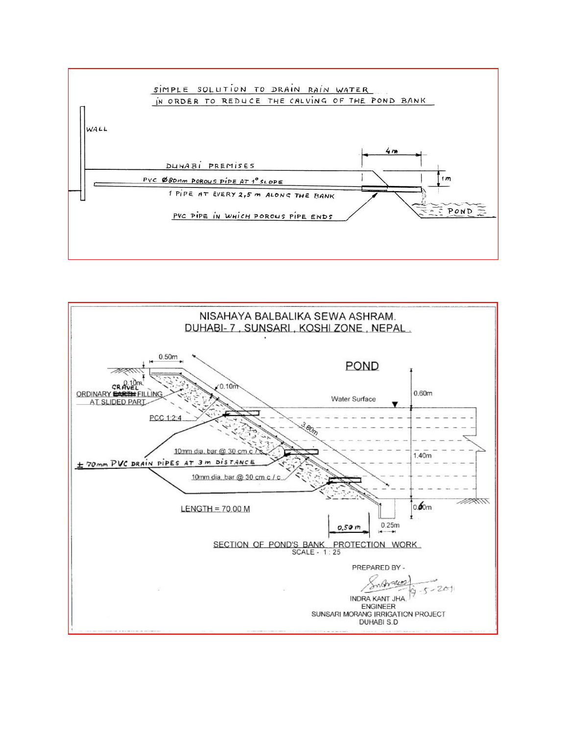